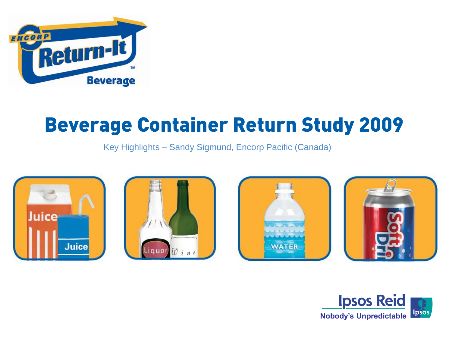

# Beverage Container Return Study 2009

Key Highlights – Sandy Sigmund, Encorp Pacific (Canada)









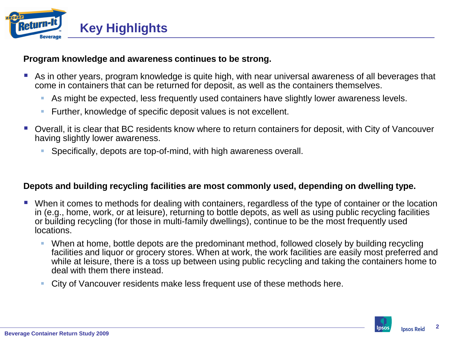

## **Program knowledge and awareness continues to be strong.**

- As in other years, program knowledge is quite high, with near universal awareness of all beverages that come in containers that can be returned for deposit, as well as the containers themselves.
	- As might be expected, less frequently used containers have slightly lower awareness levels.
	- **Further, knowledge of specific deposit values is not excellent.**
- Overall, it is clear that BC residents know where to return containers for deposit, with City of Vancouver having slightly lower awareness.
	- Specifically, depots are top-of-mind, with high awareness overall.

## **Depots and building recycling facilities are most commonly used, depending on dwelling type.**

- When it comes to methods for dealing with containers, regardless of the type of container or the location in (e.g., home, work, or at leisure), returning to bottle depots, as well as using public recycling facilities or building recycling (for those in multi-family dwellings), continue to be the most frequently used locations.
	- When at home, bottle depots are the predominant method, followed closely by building recycling facilities and liquor or grocery stores. When at work, the work facilities are easily most preferred and while at leisure, there is a toss up between using public recycling and taking the containers home to deal with them there instead.
	- City of Vancouver residents make less frequent use of these methods here.



**2**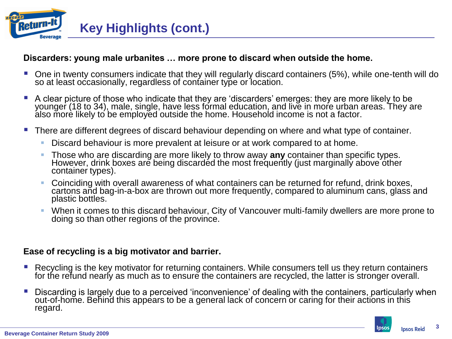

## **Discarders: young male urbanites … more prone to discard when outside the home.**

- One in twenty consumers indicate that they will regularly discard containers (5%), while one-tenth will do so at least occasionally, regardless of container type or location.
- A clear picture of those who indicate that they are 'discarders' emerges: they are more likely to be younger (18 to 34), male, single, have less formal education, and live in more urban areas. They are also more likely to be employed outside the home. Household income is not a factor.
- **There are different degrees of discard behaviour depending on where and what type of container.** 
	- Discard behaviour is more prevalent at leisure or at work compared to at home.
	- Those who are discarding are more likely to throw away **any** container than specific types. However, drink boxes are being discarded the most frequently (just marginally above other container types).
	- Coinciding with overall awareness of what containers can be returned for refund, drink boxes, cartons and bag-in-a-box are thrown out more frequently, compared to aluminum cans, glass and plastic bottles.
	- When it comes to this discard behaviour, City of Vancouver multi-family dwellers are more prone to doing so than other regions of the province.

## **Ease of recycling is a big motivator and barrier.**

- **Recycling is the key motivator for returning containers. While consumers tell us they return containers** for the refund nearly as much as to ensure the containers are recycled, the latter is stronger overall.
- **Discarding is largely due to a perceived 'inconvenience' of dealing with the containers, particularly when** out-of-home. Behind this appears to be a general lack of concern or caring for their actions in this regard.



**3**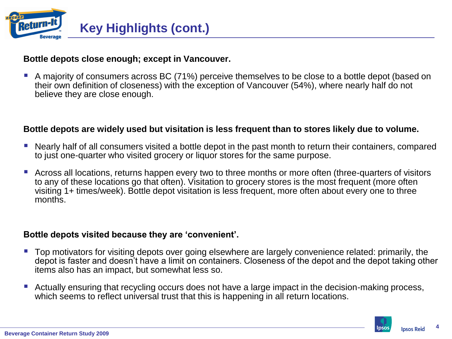

## **Bottle depots close enough; except in Vancouver.**

 A majority of consumers across BC (71%) perceive themselves to be close to a bottle depot (based on their own definition of closeness) with the exception of Vancouver (54%), where nearly half do not believe they are close enough.

#### **Bottle depots are widely used but visitation is less frequent than to stores likely due to volume.**

- Nearly half of all consumers visited a bottle depot in the past month to return their containers, compared to just one-quarter who visited grocery or liquor stores for the same purpose.
- **E** Across all locations, returns happen every two to three months or more often (three-quarters of visitors to any of these locations go that often). Visitation to grocery stores is the most frequent (more often visiting 1+ times/week). Bottle depot visitation is less frequent, more often about every one to three months.

#### **Bottle depots visited because they are 'convenient'.**

- **Top motivators for visiting depots over going elsewhere are largely convenience related: primarily, the** depot is faster and doesn't have a limit on containers. Closeness of the depot and the depot taking other items also has an impact, but somewhat less so.
- Actually ensuring that recycling occurs does not have a large impact in the decision-making process, which seems to reflect universal trust that this is happening in all return locations.

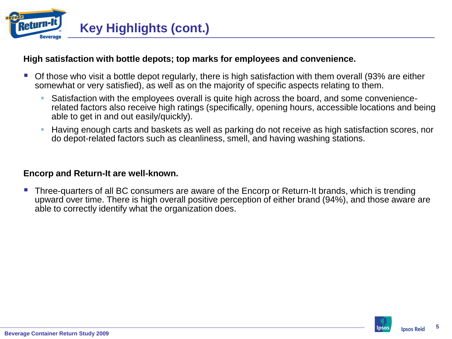

## **High satisfaction with bottle depots; top marks for employees and convenience.**

- Of those who visit a bottle depot regularly, there is high satisfaction with them overall (93% are either somewhat or very satisfied), as well as on the majority of specific aspects relating to them.
	- Satisfaction with the employees overall is quite high across the board, and some conveniencerelated factors also receive high ratings (specifically, opening hours, accessible locations and being able to get in and out easily/quickly).
	- Having enough carts and baskets as well as parking do not receive as high satisfaction scores, nor do depot-related factors such as cleanliness, smell, and having washing stations.

#### **Encorp and Return-It are well-known.**

 Three-quarters of all BC consumers are aware of the Encorp or Return-It brands, which is trending upward over time. There is high overall positive perception of either brand (94%), and those aware are able to correctly identify what the organization does.